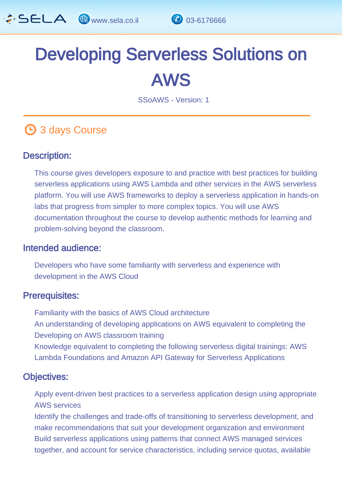

# Developing Serverless Solutions on AWS

SSoAWS - Version: 1

## **4** 3 days Course

#### Description: Ĩ

This course gives developers exposure to and practice with best practices for building serverless applications using AWS Lambda and other services in the AWS serverless platform. You will use AWS frameworks to deploy a serverless application in hands-on labs that progress from simpler to more complex topics. You will use AWS documentation throughout the course to develop authentic methods for learning and problem-solving beyond the classroom.

#### Intended audience: ľ

Developers who have some familiarity with serverless and experience with development in the AWS Cloud

#### Prerequisites: L.

Familiarity with the basics of AWS Cloud architecture An understanding of developing applications on AWS equivalent to completing the Developing on AWS classroom training Knowledge equivalent to completing the following serverless digital trainings: AWS Lambda Foundations and Amazon API Gateway for Serverless Applications

#### Objectives: Ĭ

Apply event-driven best practices to a serverless application design using appropriate AWS services

Identify the challenges and trade-offs of transitioning to serverless development, and make recommendations that suit your development organization and environment Build serverless applications using patterns that connect AWS managed services together, and account for service characteristics, including service quotas, available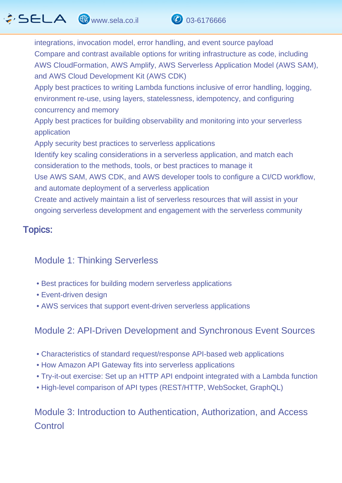# $\hat{G}$  SELA  $\circledast$  www.sela.co.il  $\circledast$  03-6176666



Apply best practices to writing Lambda functions inclusive of error handling, logging, environment re-use, using layers, statelessness, idempotency, and configuring concurrency and memory

Apply best practices for building observability and monitoring into your serverless application

Apply security best practices to serverless applications

Identify key scaling considerations in a serverless application, and match each consideration to the methods, tools, or best practices to manage it

Use AWS SAM, AWS CDK, and AWS developer tools to configure a CI/CD workflow, and automate deployment of a serverless application

Create and actively maintain a list of serverless resources that will assist in your ongoing serverless development and engagement with the serverless community

#### Topics: ľ

#### Module 1: Thinking Serverless

- Best practices for building modern serverless applications
- Event-driven design
- AWS services that support event-driven serverless applications

### Module 2: API-Driven Development and Synchronous Event Sources

- Characteristics of standard request/response API-based web applications
- How Amazon API Gateway fits into serverless applications
- Try-it-out exercise: Set up an HTTP API endpoint integrated with a Lambda function
- High-level comparison of API types (REST/HTTP, WebSocket, GraphQL)

### Module 3: Introduction to Authentication, Authorization, and Access **Control**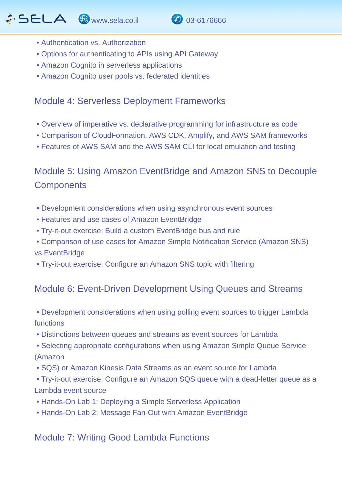

- Authentication vs. Authorization
- Options for authenticating to APIs using API Gateway
- Amazon Cognito in serverless applications
- Amazon Cognito user pools vs. federated identities

#### Module 4: Serverless Deployment Frameworks

- Overview of imperative vs. declarative programming for infrastructure as code
- Comparison of CloudFormation, AWS CDK, Amplify, and AWS SAM frameworks
- Features of AWS SAM and the AWS SAM CLI for local emulation and testing

Module 5: Using Amazon EventBridge and Amazon SNS to Decouple **Components** 

- Development considerations when using asynchronous event sources
- Features and use cases of Amazon EventBridge
- Try-it-out exercise: Build a custom EventBridge bus and rule
- Comparison of use cases for Amazon Simple Notification Service (Amazon SNS) vs.EventBridge
- Try-it-out exercise: Configure an Amazon SNS topic with filtering

### Module 6: Event-Driven Development Using Queues and Streams

- Development considerations when using polling event sources to trigger Lambda functions
- Distinctions between queues and streams as event sources for Lambda
- Selecting appropriate configurations when using Amazon Simple Queue Service (Amazon
- SQS) or Amazon Kinesis Data Streams as an event source for Lambda
- Try-it-out exercise: Configure an Amazon SQS queue with a dead-letter queue as a Lambda event source
- Hands-On Lab 1: Deploying a Simple Serverless Application
- Hands-On Lab 2: Message Fan-Out with Amazon EventBridge

Module 7: Writing Good Lambda Functions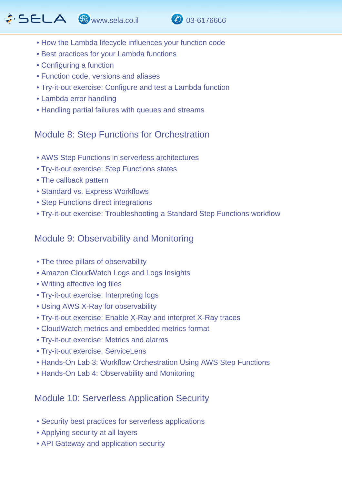### $\hat{G}$  SELA  $\circledast$  www.sela.co.il  $\circledast$  03-6176666



- How the Lambda lifecycle influences your function code
- Best practices for your Lambda functions
- Configuring a function
- Function code, versions and aliases
- Try-it-out exercise: Configure and test a Lambda function
- Lambda error handling
- Handling partial failures with queues and streams

#### Module 8: Step Functions for Orchestration

- AWS Step Functions in serverless architectures
- Try-it-out exercise: Step Functions states
- The callback pattern
- Standard vs. Express Workflows
- Step Functions direct integrations
- Try-it-out exercise: Troubleshooting a Standard Step Functions workflow

#### Module 9: Observability and Monitoring

- The three pillars of observability
- Amazon CloudWatch Logs and Logs Insights
- Writing effective log files
- Try-it-out exercise: Interpreting logs
- Using AWS X-Ray for observability
- Try-it-out exercise: Enable X-Ray and interpret X-Ray traces
- CloudWatch metrics and embedded metrics format
- Try-it-out exercise: Metrics and alarms
- Try-it-out exercise: ServiceLens
- Hands-On Lab 3: Workflow Orchestration Using AWS Step Functions
- Hands-On Lab 4: Observability and Monitoring

### Module 10: Serverless Application Security

- Security best practices for serverless applications
- Applying security at all layers
- API Gateway and application security